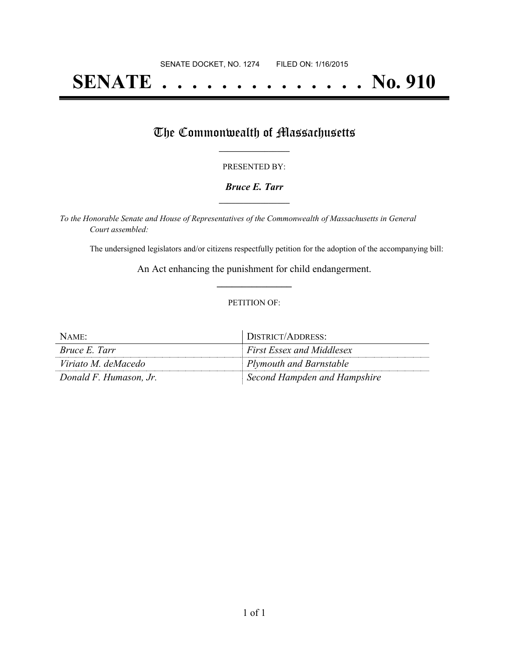# **SENATE . . . . . . . . . . . . . . No. 910**

## The Commonwealth of Massachusetts

#### PRESENTED BY:

#### *Bruce E. Tarr* **\_\_\_\_\_\_\_\_\_\_\_\_\_\_\_\_\_**

*To the Honorable Senate and House of Representatives of the Commonwealth of Massachusetts in General Court assembled:*

The undersigned legislators and/or citizens respectfully petition for the adoption of the accompanying bill:

An Act enhancing the punishment for child endangerment. **\_\_\_\_\_\_\_\_\_\_\_\_\_\_\_**

#### PETITION OF:

| NAME:                  | DISTRICT/ADDRESS:                |
|------------------------|----------------------------------|
| <i>Bruce E. Tarr</i>   | <b>First Essex and Middlesex</b> |
| Viriato M. deMacedo    | Plymouth and Barnstable          |
| Donald F. Humason, Jr. | Second Hampden and Hampshire     |